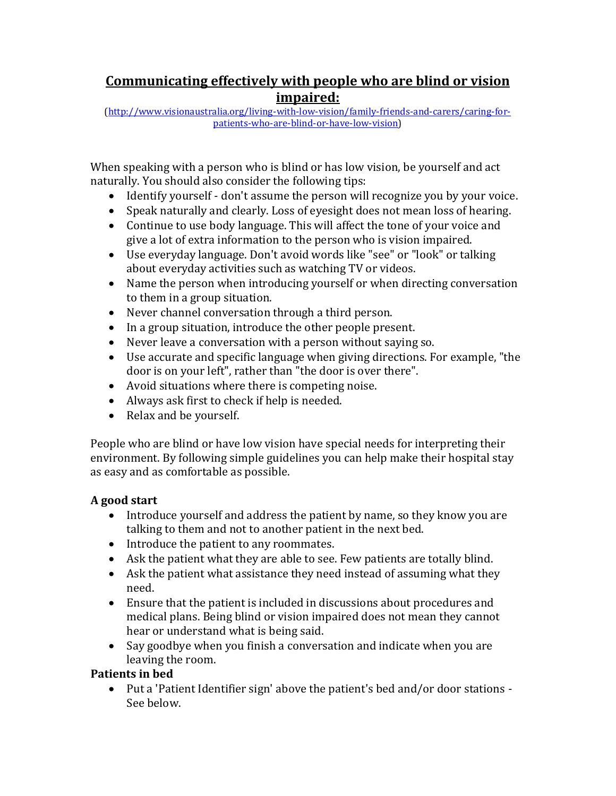# **Communicating effectively with people who are blind or vision impaired:**

[\(http://www.visionaustralia.org/living-with-low-vision/family-friends-and-carers/caring-for](http://www.visionaustralia.org/living-with-low-vision/family-friends-and-carers/caring-for-patients-who-are-blind-or-have-low-vision)[patients-who-are-blind-or-have-low-vision\)](http://www.visionaustralia.org/living-with-low-vision/family-friends-and-carers/caring-for-patients-who-are-blind-or-have-low-vision)

When speaking with a person who is blind or has low vision, be yourself and act naturally. You should also consider the following tips:

- Identify yourself don't assume the person will recognize you by your voice.
- Speak naturally and clearly. Loss of eyesight does not mean loss of hearing.
- Continue to use body language. This will affect the tone of your voice and give a lot of extra information to the person who is vision impaired.
- Use everyday language. Don't avoid words like "see" or "look" or talking about everyday activities such as watching TV or videos.
- Name the person when introducing yourself or when directing conversation to them in a group situation.
- Never channel conversation through a third person.
- In a group situation, introduce the other people present.
- Never leave a conversation with a person without saying so.
- Use accurate and specific language when giving directions. For example, "the door is on your left", rather than "the door is over there".
- Avoid situations where there is competing noise.
- Always ask first to check if help is needed.
- Relax and be yourself.

People who are blind or have low vision have special needs for interpreting their environment. By following simple guidelines you can help make their hospital stay as easy and as comfortable as possible.

## **A good start**

- Introduce yourself and address the patient by name, so they know you are talking to them and not to another patient in the next bed.
- Introduce the patient to any roommates.
- Ask the patient what they are able to see. Few patients are totally blind.
- Ask the patient what assistance they need instead of assuming what they need.
- Ensure that the patient is included in discussions about procedures and medical plans. Being blind or vision impaired does not mean they cannot hear or understand what is being said.
- Say goodbye when you finish a conversation and indicate when you are leaving the room.

# **Patients in bed**

• Put a 'Patient Identifier sign' above the patient's bed and/or door stations - See below.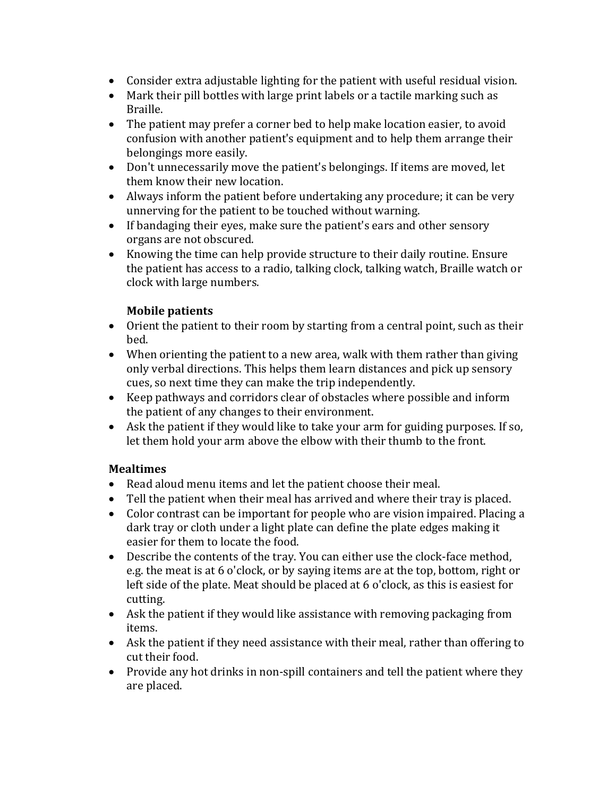- Consider extra adjustable lighting for the patient with useful residual vision.
- Mark their pill bottles with large print labels or a tactile marking such as Braille.
- The patient may prefer a corner bed to help make location easier, to avoid confusion with another patient's equipment and to help them arrange their belongings more easily.
- Don't unnecessarily move the patient's belongings. If items are moved, let them know their new location.
- Always inform the patient before undertaking any procedure; it can be very unnerving for the patient to be touched without warning.
- If bandaging their eyes, make sure the patient's ears and other sensory organs are not obscured.
- Knowing the time can help provide structure to their daily routine. Ensure the patient has access to a radio, talking clock, talking watch, Braille watch or clock with large numbers.

## **Mobile patients**

- Orient the patient to their room by starting from a central point, such as their bed.
- When orienting the patient to a new area, walk with them rather than giving only verbal directions. This helps them learn distances and pick up sensory cues, so next time they can make the trip independently.
- Keep pathways and corridors clear of obstacles where possible and inform the patient of any changes to their environment.
- Ask the patient if they would like to take your arm for guiding purposes. If so, let them hold your arm above the elbow with their thumb to the front.

## **Mealtimes**

- Read aloud menu items and let the patient choose their meal.
- Tell the patient when their meal has arrived and where their tray is placed.
- Color contrast can be important for people who are vision impaired. Placing a dark tray or cloth under a light plate can define the plate edges making it easier for them to locate the food.
- Describe the contents of the tray. You can either use the clock-face method, e.g. the meat is at 6 o'clock, or by saying items are at the top, bottom, right or left side of the plate. Meat should be placed at 6 o'clock, as this is easiest for cutting.
- Ask the patient if they would like assistance with removing packaging from items.
- Ask the patient if they need assistance with their meal, rather than offering to cut their food.
- Provide any hot drinks in non-spill containers and tell the patient where they are placed.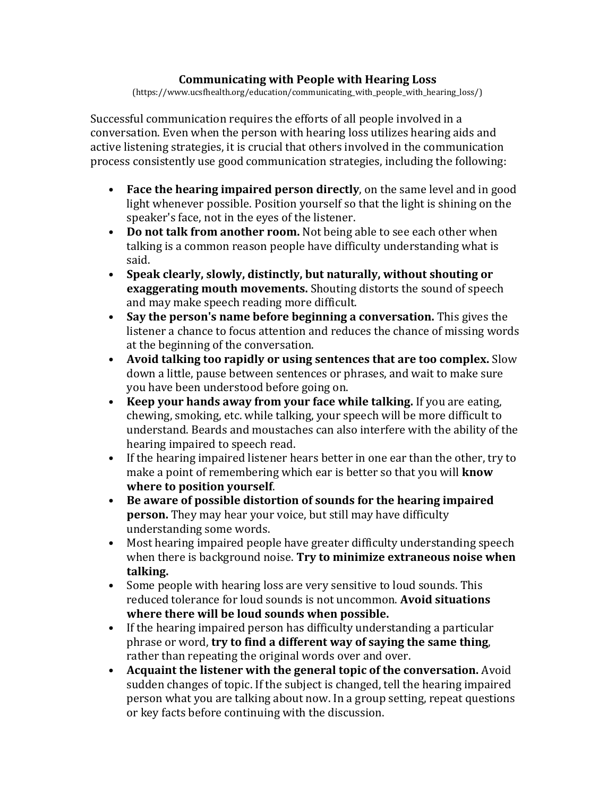#### **Communicating with People with Hearing Loss**

(https://www.ucsfhealth.org/education/communicating\_with\_people\_with\_hearing\_loss/)

Successful communication requires the efforts of all people involved in a conversation. Even when the person with hearing loss utilizes hearing aids and active listening strategies, it is crucial that others involved in the communication process consistently use good communication strategies, including the following:

- **Face the hearing impaired person directly**, on the same level and in good light whenever possible. Position yourself so that the light is shining on the speaker's face, not in the eyes of the listener.
- **Do not talk from another room.** Not being able to see each other when talking is a common reason people have difficulty understanding what is said.
- **Speak clearly, slowly, distinctly, but naturally, without shouting or exaggerating mouth movements.** Shouting distorts the sound of speech and may make speech reading more difficult.
- **Say the person's name before beginning a conversation.** This gives the listener a chance to focus attention and reduces the chance of missing words at the beginning of the conversation.
- **Avoid talking too rapidly or using sentences that are too complex.** Slow down a little, pause between sentences or phrases, and wait to make sure you have been understood before going on.
- **Keep your hands away from your face while talking.** If you are eating, chewing, smoking, etc. while talking, your speech will be more difficult to understand. Beards and moustaches can also interfere with the ability of the hearing impaired to speech read.
- If the hearing impaired listener hears better in one ear than the other, try to make a point of remembering which ear is better so that you will **know where to position yourself**.
- **Be aware of possible distortion of sounds for the hearing impaired person.** They may hear your voice, but still may have difficulty understanding some words.
- Most hearing impaired people have greater difficulty understanding speech when there is background noise. **Try to minimize extraneous noise when talking.**
- Some people with hearing loss are very sensitive to loud sounds. This reduced tolerance for loud sounds is not uncommon. **Avoid situations where there will be loud sounds when possible.**
- If the hearing impaired person has difficulty understanding a particular phrase or word, **try to find a different way of saying the same thing**, rather than repeating the original words over and over.
- **Acquaint the listener with the general topic of the conversation.** Avoid sudden changes of topic. If the subject is changed, tell the hearing impaired person what you are talking about now. In a group setting, repeat questions or key facts before continuing with the discussion.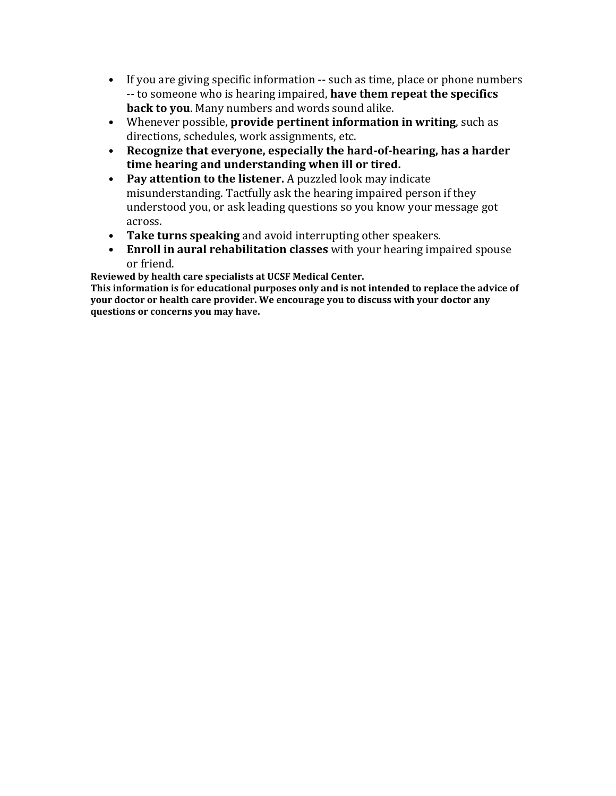- If you are giving specific information -- such as time, place or phone numbers -- to someone who is hearing impaired, **have them repeat the specifics back to you**. Many numbers and words sound alike.
- Whenever possible, **provide pertinent information in writing**, such as directions, schedules, work assignments, etc.
- **Recognize that everyone, especially the hard-of-hearing, has a harder time hearing and understanding when ill or tired.**
- **Pay attention to the listener.** A puzzled look may indicate misunderstanding. Tactfully ask the hearing impaired person if they understood you, or ask leading questions so you know your message got across.
- **Take turns speaking** and avoid interrupting other speakers.
- **Enroll in aural rehabilitation classes** with your hearing impaired spouse or friend.

**Reviewed by health care specialists at UCSF Medical Center.**

**This information is for educational purposes only and is not intended to replace the advice of your doctor or health care provider. We encourage you to discuss with your doctor any questions or concerns you may have.**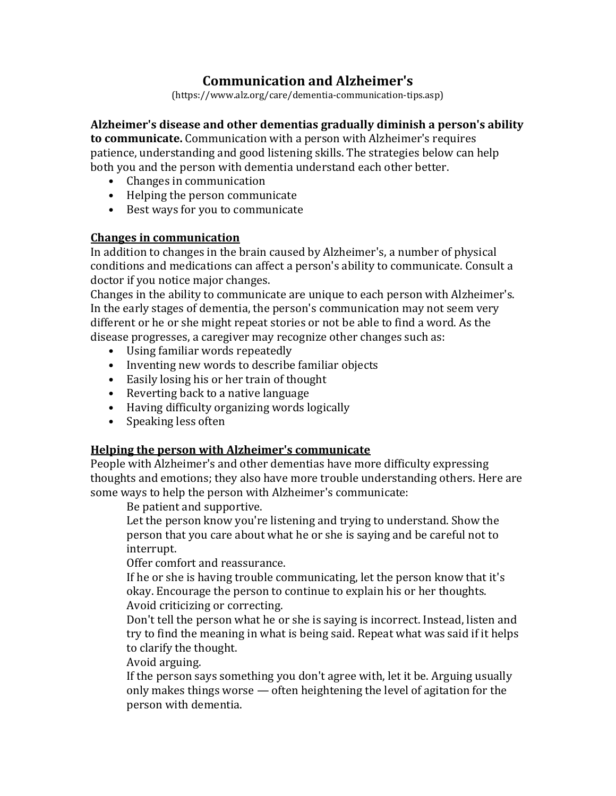# **Communication and Alzheimer's**

(https://www.alz.org/care/dementia-communication-tips.asp)

### **Alzheimer's disease and other dementias gradually diminish a person's ability**

**to communicate.** Communication with a person with Alzheimer's requires patience, understanding and good listening skills. The strategies below can help both you and the person with dementia understand each other better.

- Changes in communication
- Helping the person communicate
- Best ways for you to communicate

### **Changes in communication**

In addition to [changes in the brain](http://www.alz.org/alzheimers_disease_4719.asp) caused by Alzheimer's, a number of physical conditions and medications can affect a person's ability to communicate. Consult a doctor if you notice major changes.

Changes in the ability to communicate are unique to each person with Alzheimer's. In the early stages of dementia, the person's communication may not seem very different or he or she might repeat stories or not be able to find a word. As the disease progresses, a caregiver may recognize other changes such as:

- Using familiar words repeatedly
- Inventing new words to describe familiar objects
- Easily losing his or her train of thought
- Reverting back to a native language
- Having difficulty organizing words logically
- Speaking less often

## **Helping the person with Alzheimer's communicate**

People with Alzheimer's and other dementias have more difficulty expressing thoughts and emotions; they also have more trouble understanding others. Here are some ways to help the person with Alzheimer's communicate:

Be patient and supportive.

Let the person know you're listening and trying to understand. Show the person that you care about what he or she is saying and be careful not to interrupt.

Offer comfort and reassurance.

If he or she is having trouble communicating, let the person know that it's okay. Encourage the person to continue to explain his or her thoughts. Avoid criticizing or correcting.

Don't tell the person what he or she is saying is incorrect. Instead, listen and try to find the meaning in what is being said. Repeat what was said if it helps to clarify the thought.

Avoid arguing.

If the person says something you don't agree with, let it be. Arguing usually only makes things worse — often heightening the level of agitation for the person with dementia.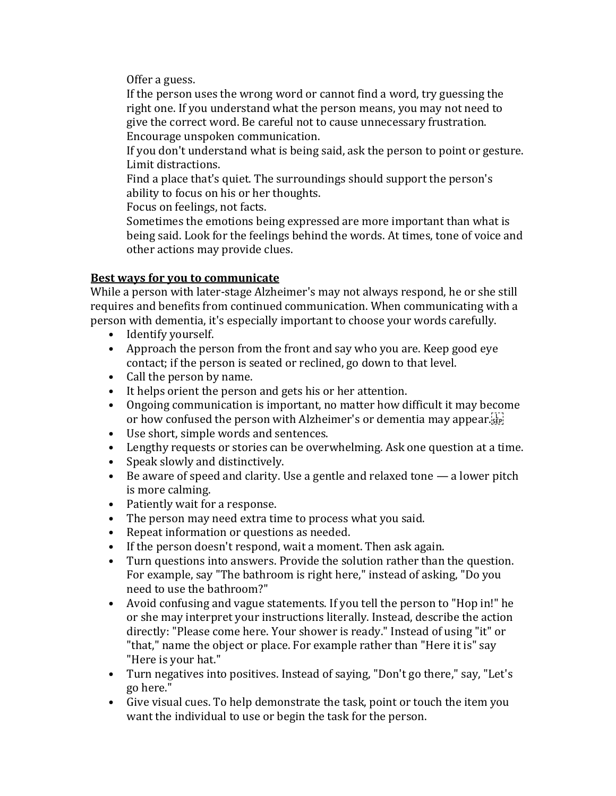Offer a guess.

If the person uses the wrong word or cannot find a word, try guessing the right one. If you understand what the person means, you may not need to give the correct word. Be careful not to cause unnecessary frustration. Encourage unspoken communication.

If you don't understand what is being said, ask the person to point or gesture. Limit distractions.

Find a place that's quiet. The surroundings should support the person's ability to focus on his or her thoughts.

Focus on feelings, not facts.

Sometimes the emotions being expressed are more important than what is being said. Look for the feelings behind the words. At times, tone of voice and other actions may provide clues.

### **Best ways for you to communicate**

While a person with later-stage Alzheimer's may not always respond, he or she still requires and benefits from continued communication. When communicating with a person with dementia, it's especially important to choose your words carefully.

- Identify yourself.
- Approach the person from the front and say who you are. Keep good eye contact; if the person is seated or reclined, go down to that level.
- Call the person by name.
- It helps orient the person and gets his or her attention.
- Ongoing communication is important, no matter how difficult it may become or how confused the person with Alzheimer's or dementia may appear.
- Use short, simple words and sentences.
- Lengthy requests or stories can be overwhelming. Ask one question at a time.
- Speak slowly and distinctively.
- Be aware of speed and clarity. Use a gentle and relaxed tone a lower pitch is more calming.
- Patiently wait for a response.
- The person may need extra time to process what you said.
- Repeat information or questions as needed.
- If the person doesn't respond, wait a moment. Then ask again.
- Turn questions into answers. Provide the solution rather than the question. For example, say "The bathroom is right here," instead of asking, "Do you need to use the bathroom?"
- Avoid confusing and vague statements. If you tell the person to "Hop in!" he or she may interpret your instructions literally. Instead, describe the action directly: "Please come here. Your shower is ready." Instead of using "it" or "that," name the object or place. For example rather than "Here it is" say "Here is your hat."
- Turn negatives into positives. Instead of saying, "Don't go there," say, "Let's go here."
- Give visual cues. To help demonstrate the task, point or touch the item you want the individual to use or begin the task for the person.